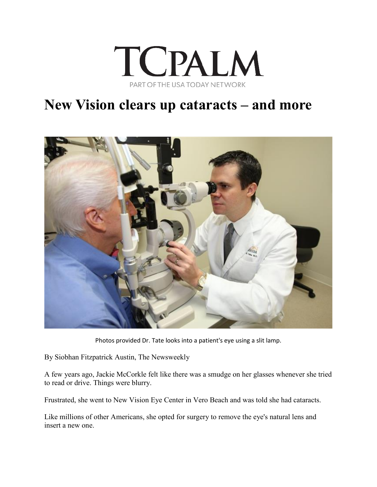

## **New Vision clears up cataracts – and more**



Photos provided Dr. Tate looks into a patient's eye using a slit lamp.

By Siobhan Fitzpatrick Austin, The Newsweekly

A few years ago, Jackie McCorkle felt like there was a smudge on her glasses whenever she tried to read or drive. Things were blurry.

Frustrated, she went to New Vision Eye Center in Vero Beach and was told she had cataracts.

Like millions of other Americans, she opted for surgery to remove the eye's natural lens and insert a new one.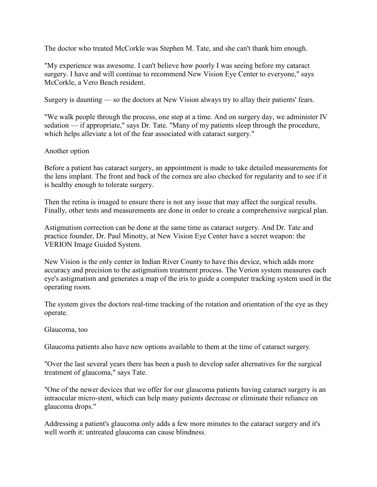The doctor who treated McCorkle was Stephen M. Tate, and she can't thank him enough.

"My experience was awesome. I can't believe how poorly I was seeing before my cataract surgery. I have and will continue to recommend New Vision Eye Center to everyone," says McCorkle, a Vero Beach resident.

Surgery is daunting — so the doctors at New Vision always try to allay their patients' fears.

"We walk people through the process, one step at a time. And on surgery day, we administer IV sedation — if appropriate," says Dr. Tate. "Many of my patients sleep through the procedure, which helps alleviate a lot of the fear associated with cataract surgery."

## Another option

Before a patient has cataract surgery, an appointment is made to take detailed measurements for the lens implant. The front and back of the cornea are also checked for regularity and to see if it is healthy enough to tolerate surgery.

Then the retina is imaged to ensure there is not any issue that may affect the surgical results. Finally, other tests and measurements are done in order to create a comprehensive surgical plan.

Astigmatism correction can be done at the same time as cataract surgery. And Dr. Tate and practice founder, Dr. Paul Minotty, at New Vision Eye Center have a secret weapon: the VERION Image Guided System.

New Vision is the only center in Indian River County to have this device, which adds more accuracy and precision to the astigmatism treatment process. The Verion system measures each eye's astigmatism and generates a map of the iris to guide a computer tracking system used in the operating room.

The system gives the doctors real-time tracking of the rotation and orientation of the eye as they operate.

## Glaucoma, too

Glaucoma patients also have new options available to them at the time of cataract surgery.

"Over the last several years there has been a push to develop safer alternatives for the surgical treatment of glaucoma," says Tate.

"One of the newer devices that we offer for our glaucoma patients having cataract surgery is an intraocular micro-stent, which can help many patients decrease or eliminate their reliance on glaucoma drops."

Addressing a patient's glaucoma only adds a few more minutes to the cataract surgery and it's well worth it: untreated glaucoma can cause blindness.